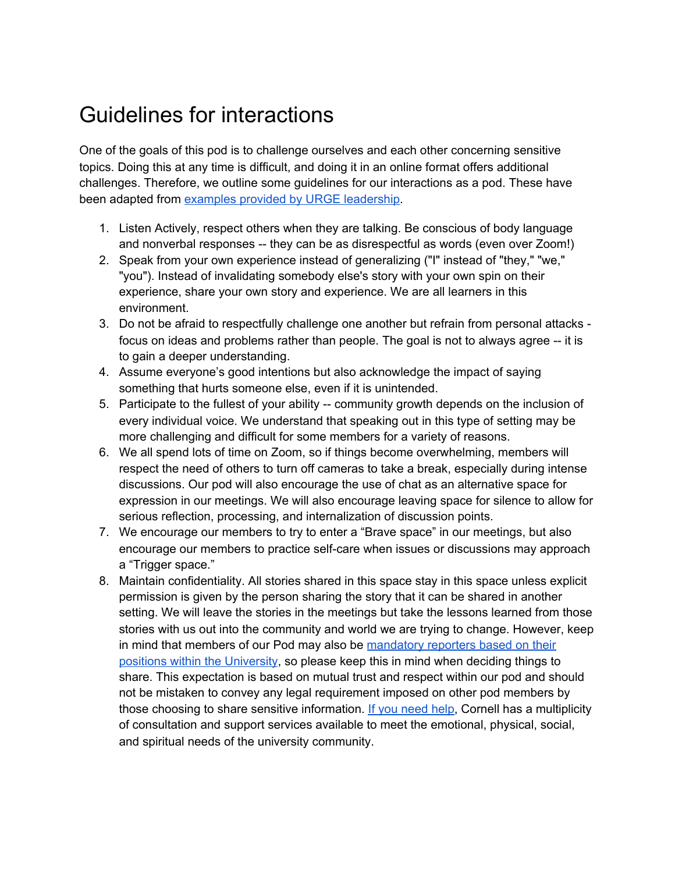## Guidelines for interactions

One of the goals of this pod is to challenge ourselves and each other concerning sensitive topics. Doing this at any time is difficult, and doing it in an online format offers additional challenges. Therefore, we outline some guidelines for our interactions as a pod. These have been adapted from examples provided by URGE [leadership.](https://urgeoscience.org/wp-content/uploads/sites/33/2021/01/URGE-Deliverable-Session-1-Pod-Guidelines.pdf)

- 1. Listen Actively, respect others when they are talking. Be conscious of body language and nonverbal responses -- they can be as disrespectful as words (even over Zoom!)
- 2. Speak from your own experience instead of generalizing ("I" instead of "they," "we," "you"). Instead of invalidating somebody else's story with your own spin on their experience, share your own story and experience. We are all learners in this environment.
- 3. Do not be afraid to respectfully challenge one another but refrain from personal attacks focus on ideas and problems rather than people. The goal is not to always agree -- it is to gain a deeper understanding.
- 4. Assume everyone's good intentions but also acknowledge the impact of saying something that hurts someone else, even if it is unintended.
- 5. Participate to the fullest of your ability -- community growth depends on the inclusion of every individual voice. We understand that speaking out in this type of setting may be more challenging and difficult for some members for a variety of reasons.
- 6. We all spend lots of time on Zoom, so if things become overwhelming, members will respect the need of others to turn off cameras to take a break, especially during intense discussions. Our pod will also encourage the use of chat as an alternative space for expression in our meetings. We will also encourage leaving space for silence to allow for serious reflection, processing, and internalization of discussion points.
- 7. We encourage our members to try to enter a "Brave space" in our meetings, but also encourage our members to practice self-care when issues or discussions may approach a "Trigger space."
- 8. Maintain confidentiality. All stories shared in this space stay in this space unless explicit permission is given by the person sharing the story that it can be shared in another setting. We will leave the stories in the meetings but take the lessons learned from those stories with us out into the community and world we are trying to change. However, keep in mind that members of our Pod may also be [mandatory](https://titleix.cornell.edu/) reporters based on their positions within the [University](https://titleix.cornell.edu/), so please keep this in mind when deciding things to share. This expectation is based on mutual trust and respect within our pod and should not be mistaken to convey any legal requirement imposed on other pod members by those choosing to share sensitive information. If you [need](http://caringcommunity.cornell.edu/get-help/) help, Cornell has a multiplicity of consultation and support services available to meet the emotional, physical, social, and spiritual needs of the university community.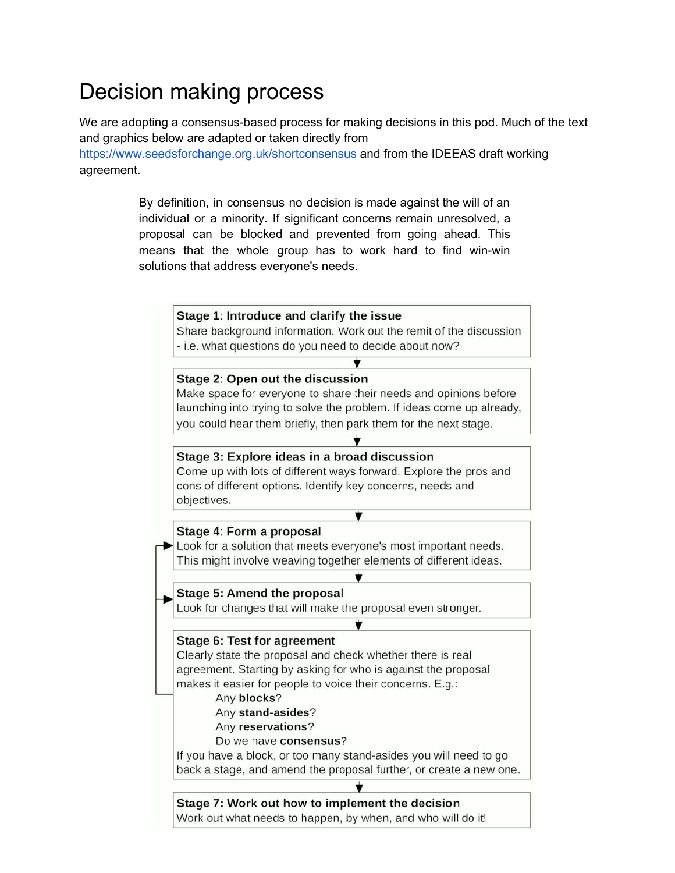# Decision making process

We are adopting a consensus-based process for making decisions in this pod. Much of the text and graphics below are adapted or taken directly from

https://www.seedsforchange.org.uk/shortconsensus and from the IDEEAS draft working agreement.

> By definition, in consensus no decision is made against the will of an individual or a minority. If significant concerns remain unresolved, a proposal can be blocked and prevented from going ahead. This means that the whole group has to work hard to find win-win solutions that address everyone's needs.

### Stage 1: Introduce and clarify the issue

Share background information. Work out the remit of the discussion - i.e. what questions do you need to decide about now?

#### Stage 2: Open out the discussion

Make space for everyone to share their needs and opinions before launching into trying to solve the problem. If ideas come up already, you could hear them briefly, then park them for the next stage.

÷

### Stage 3: Explore ideas in a broad discussion

Come up with lots of different ways forward. Explore the pros and cons of different options. Identify key concerns, needs and objectives.

### Stage 4: Form a proposal

Look for a solution that meets everyone's most important needs. This might involve weaving together elements of different ideas.

▼

Ý

### Stage 5: Amend the proposal

Look for changes that will make the proposal even stronger.

#### Stage 6: Test for agreement

Clearly state the proposal and check whether there is real agreement. Starting by asking for who is against the proposal makes it easier for people to voice their concerns. E.g.:

- Any blocks?
- Any stand-asides?
- Any reservations?
- Do we have consensus?

If you have a block, or too many stand-asides you will need to go back a stage, and amend the proposal further, or create a new one.

### Stage 7: Work out how to implement the decision Work out what needs to happen, by when, and who will do it!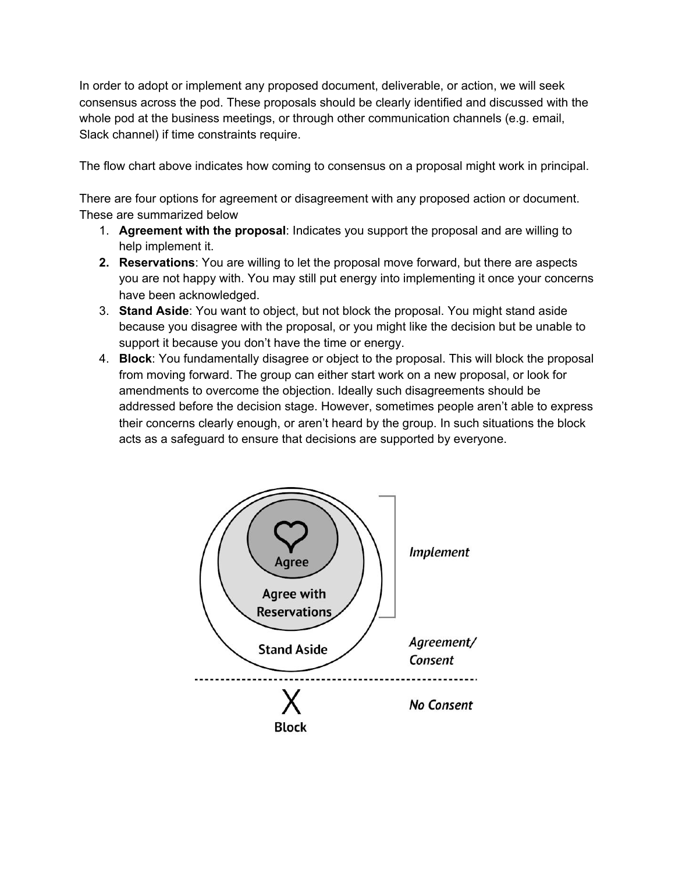In order to adopt or implement any proposed document, deliverable, or action, we will seek consensus across the pod. These proposals should be clearly identified and discussed with the whole pod at the business meetings, or through other communication channels (e.g. email, Slack channel) if time constraints require.

The flow chart above indicates how coming to consensus on a proposal might work in principal.

There are four options for agreement or disagreement with any proposed action or document. These are summarized below

- 1. **Agreement with the proposal**: Indicates you support the proposal and are willing to help implement it.
- **2. Reservations**: You are willing to let the proposal move forward, but there are aspects you are not happy with. You may still put energy into implementing it once your concerns have been acknowledged.
- 3. **Stand Aside**: You want to object, but not block the proposal. You might stand aside because you disagree with the proposal, or you might like the decision but be unable to support it because you don't have the time or energy.
- 4. **Block**: You fundamentally disagree or object to the proposal. This will block the proposal from moving forward. The group can either start work on a new proposal, or look for amendments to overcome the objection. Ideally such disagreements should be addressed before the decision stage. However, sometimes people aren't able to express their concerns clearly enough, or aren't heard by the group. In such situations the block acts as a safeguard to ensure that decisions are supported by everyone.

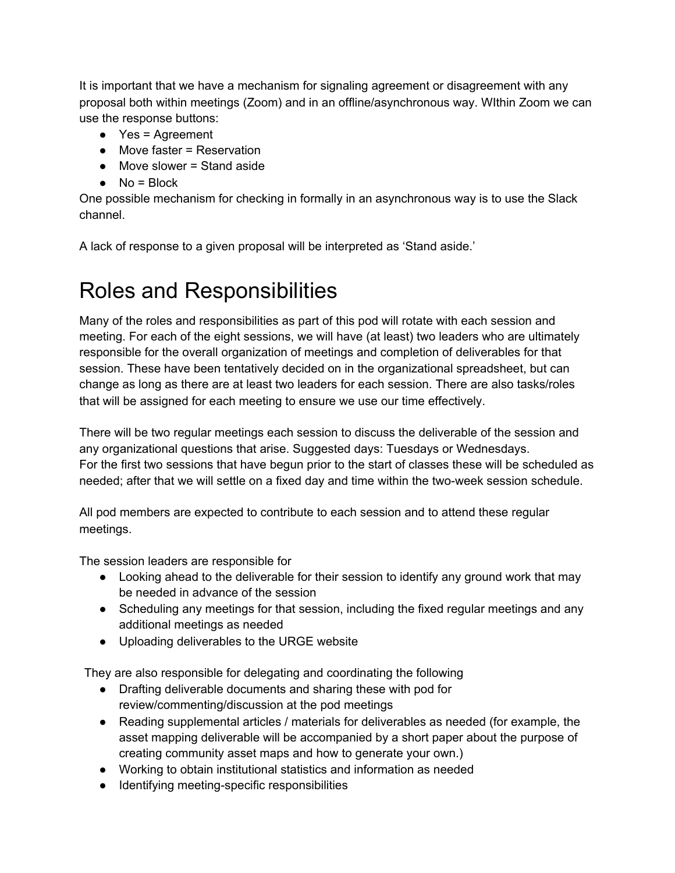It is important that we have a mechanism for signaling agreement or disagreement with any proposal both within meetings (Zoom) and in an offline/asynchronous way. WIthin Zoom we can use the response buttons:

- Yes = Agreement
- Move faster = Reservation
- $\bullet$  Move slower = Stand aside
- $\bullet$  No = Block

One possible mechanism for checking in formally in an asynchronous way is to use the Slack channel.

A lack of response to a given proposal will be interpreted as 'Stand aside.'

# Roles and Responsibilities

Many of the roles and responsibilities as part of this pod will rotate with each session and meeting. For each of the eight sessions, we will have (at least) two leaders who are ultimately responsible for the overall organization of meetings and completion of deliverables for that session. These have been tentatively decided on in the organizational spreadsheet, but can change as long as there are at least two leaders for each session. There are also tasks/roles that will be assigned for each meeting to ensure we use our time effectively.

There will be two regular meetings each session to discuss the deliverable of the session and any organizational questions that arise. Suggested days: Tuesdays or Wednesdays. For the first two sessions that have begun prior to the start of classes these will be scheduled as needed; after that we will settle on a fixed day and time within the two-week session schedule.

All pod members are expected to contribute to each session and to attend these regular meetings.

The session leaders are responsible for

- Looking ahead to the deliverable for their session to identify any ground work that may be needed in advance of the session
- Scheduling any meetings for that session, including the fixed regular meetings and any additional meetings as needed
- Uploading deliverables to the URGE website

They are also responsible for delegating and coordinating the following

- Drafting deliverable documents and sharing these with pod for review/commenting/discussion at the pod meetings
- Reading supplemental articles / materials for deliverables as needed (for example, the asset mapping deliverable will be accompanied by a short paper about the purpose of creating community asset maps and how to generate your own.)
- Working to obtain institutional statistics and information as needed
- Identifying meeting-specific responsibilities